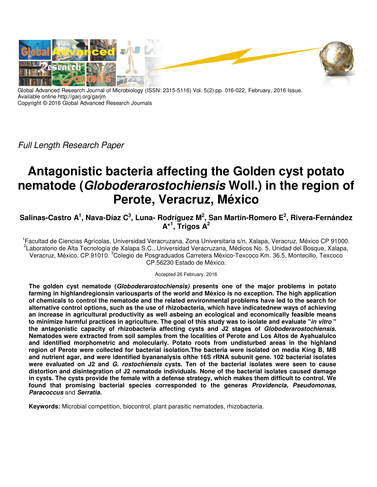

Global Advanced Research Journal of Microbiology (ISSN: 2315-5116) Vol. 5(2) pp. 016-022, February, 2016 Issue. Available online http://garj.org/garjm Copyright © 2016 Global Advanced Research Journals

Full Length Research Paper

# **Antagonistic bacteria affecting the Golden cyst potato nematode (Globoderarostochiensis Woll.) in the region of Perote, Veracruz, México**

**Salinas-Castro A<sup>1</sup> , Nava-Díaz C<sup>3</sup> , Luna- Rodríguez M<sup>2</sup> , San Martín-Romero E<sup>2</sup> , Rivera-Fernández A\*<sup>1</sup> , Trigos A<sup>2</sup>**

<sup>1</sup> Facultad de Ciencias Agrícolas, Universidad Veracruzana, Zona Universitaria s/n, Xalapa, Veracruz, México CP 91000. <sup>2</sup>Laboratorio de Alta Tecnología de Xalapa S.C., Universidad Veracruzana, Médicos No. 5, Unidad del Bosque, Xalapa, Veracruz, México. CP.91010. <sup>3</sup>Colegio de Posgraduados Carretera México-Texcoco Km. 36.5, Montecillo, Texcoco CP.56230 Estado de México.

Accepted 26 February, 2016

**The golden cyst nematode (Globoderarostochiensis) presents one of the major problems in potato farming in highlandregionsin variousparts of the world and México is no exception. The high application of chemicals to control the nematode and the related environmental problems have led to the search for alternative control options, such as the use of rhizobacteria, which have indicatednew ways of achieving an increase in agricultural productivity as well asbeing an ecological and economically feasible means to minimize harmful practices in agriculture. The goal of this study was to isolate and evaluate "in vitro " the antagonistic capacity of rhizobacteria affecting cysts and J2 stages of Globoderarostochiensis. Nematodes were extracted from soil samples from the localities of Perote and Los Altos de Ayahualulco and identified morphometric and molecularly. Potato roots from undisturbed areas in the highland region of Perote were collected for bacterial isolation.The bacteria were isolated on media King B, MB and nutrient agar, and were identified byananalysis ofthe 16S rRNA subunit gene. 102 bacterial isolates were evaluated on J2 and G. rostochiensis cysts. Ten of the bacterial isolates were seen to cause distortion and disintegration of J2 nematode individuals. None of the bacterial isolates caused damage in cysts. The cysts provide the female with a defense strategy, which makes them difficult to control. We found that promising bacterial species corresponded to the generas Providencia, Pseudomonas, Paracoccus** and **Serratia.** 

**Keywords:** Microbial competition, biocontrol, plant parasitic nematodes, rhizobacteria.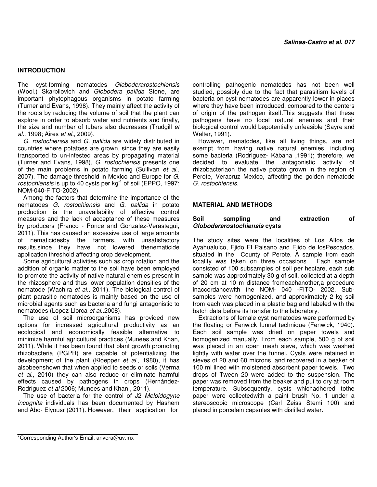#### **INTRODUCTION**

The cyst-forming nematodes Globoderarostochiensis (Wool.) Skarbilovich and Globodera pallida Stone, are important phytophagous organisms in potato farming (Turner and Evans, 1998). They mainly affect the activity of the roots by reducing the volume of soil that the plant can explore in order to absorb water and nutrients and finally, the size and number of tubers also decreases (Trudgill et al., 1998; Aires et al., 2009).

G. rostochiensis and G. pallida are widely distributed in countries where potatoes are grown, since they are easily transported to un-infested areas by propagating material (Turner and Evans, 1998), G. rostochiensis presents one of the main problems in potato farming (Sullivan et al., 2007). The damage threshold in Mexico and Europe for G. rostochiensis is up to 40 cysts per  $kg^{-1}$  of soil (EPPO, 1997; NOM-040-FITO-2002).

Among the factors that determine the importance of the nematodes G. rostochiensis and G. pallida in potato production is the unavailability of effective control measures and the lack of acceptance of these measures by producers (Franco - Ponce and Gonzalez-Verastegui, 2011). This has caused an excessive use of large amounts of nematicidesby the farmers, with unsatisfactory results,since they have not lowered thenematicide application threshold affecting crop development.

Some agricultural activities such as crop rotation and the addition of organic matter to the soil have been employed to promote the activity of native natural enemies present in the rhizosphere and thus lower population densities of the nematode (Wachira et al., 2011). The biological control of plant parasitic nematodes is mainly based on the use of microbial agents such as bacteria and fungi antagonistic to nematodes (Lopez-Llorca et al.,2008).

The use of soil microorganisms has provided new options for increased agricultural productivity as an ecological and economically feasible alternative to minimize harmful agricultural practices (Munees and Khan, 2011). While it has been found that plant growth promoting rhizobacteria (PGPR) are capable of potentializing the development of the plant (Kloepper et al., 1980), it has alsobeenshown that when applied to seeds or soils (Verma et al., 2010) they can also reduce or eliminate harmful effects caused by pathogens in crops (Hernández-Rodríguez et al 2006; Munees and Khan , 2011).

The use of bacteria for the control of J2 Meloidogyne incognita individuals has been documented by Hashem and Abo- Elyousr (2011). However, their application for

controlling pathogenic nematodes has not been well studied, possibly due to the fact that parasitism levels of bacteria on cyst nematodes are apparently lower in places where they have been introduced, compared to the centers of origin of the pathogen itself.This suggests that these pathogens have no local natural enemies and their biological control would bepotentially unfeasible (Sayre and Walter, 1991).

However, nematodes, like all living things, are not exempt from having native natural enemies, including some bacteria (Rodríguez- Kábana ,1991); therefore, we decided to evaluate the antagonistic activity of rhizobacteriaon the native potato grown in the region of Perote, Veracruz Mexico, affecting the golden nematode G. rostochiensis.

#### **MATERIAL AND METHODS**

#### **Soil sampling and extraction of Globoderarostochiensis cysts**

The study sites were the localities of Los Altos de Ayahualulco, Ejido El Paisano and Ejido de losPescados, situated in the County of Perote. A sample from each locality was taken on three occasions. Each sample consisted of 100 subsamples of soil per hectare, each sub sample was approximately 30 g of soil, collected at a depth of 20 cm at 10 m distance fromeachanother,a procedure inaccordancewith the NOM- 040 -FITO- 2002. Subsamples were homogenized, and approximately 2 kg soil from each was placed in a plastic bag and labeled with the batch data before its transfer to the laboratory.

Extractions of female cyst nematodes were performed by the floating or Fenwick funnel technique (Fenwick, 1940). Each soil sample was dried on paper towels and homogenized manually. From each sample, 500 g of soil was placed in an open mesh sieve, which was washed lightly with water over the funnel. Cysts were retained in sieves of 20 and 60 microns, and recovered in a beaker of 100 ml lined with moistened absorbent paper towels. Two drops of Tween 20 were added to the suspension. The paper was removed from the beaker and put to dry at room temperature. Subsequently, cysts whichadhered tothe paper were collectedwith a paint brush No. 1 under a stereoscopic microscope (Carl Zeiss Stemi 100) and placed in porcelain capsules with distilled water.

<sup>\*</sup>Corresponding Author's Email: arivera@uv.mx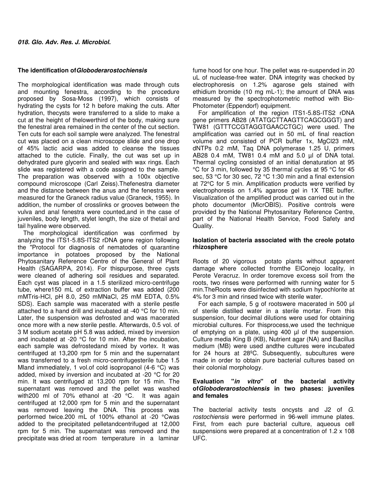# **The identification ofGloboderarostochiensis**

The morphological identification was made through cuts and mounting fenestra, according to the procedure proposed by Sosa-Moss (1997), which consists of hydrating the cysts for 12 h before making the cuts. After hydration, thecysts were transferred to a slide to make a cut at the height of thelowerthird of the body, making sure the fenestral area remained in the center of the cut section. Ten cuts for each soil sample were analyzed. The fenestral cut was placed on a clean microscope slide and one drop of 45% lactic acid was added to cleanse the tissues attached to the cuticle. Finally, the cut was set up in dehydrated pure glycerin and sealed with wax rings. Each slide was registered with a code assigned to the sample. The preparation was observed with a 100x objective compound microscope (Carl Zeiss).Thefenestra diameter and the distance between the anus and the fenestra were measured for the Graneck radius value (Graneck, 1955). In addition, the number of crosslinks or grooves between the vulva and anal fenestra were counted,and in the case of juveniles, body length, stylet length, the size of thetail and tail hyaline were observed.

The morphological identification was confirmed by analyzing the ITS1-5.8S-ITS2 rDNA gene region following the "Protocol for diagnosis of nematodes of quarantine importance in potatoes proposed by the National Phytosanitary Reference Centre of the General of Plant Health (SAGARPA, 2014). For thispurpose, three cysts were cleaned of adhering soil residues and separated. Each cyst was placed in a 1.5 sterilized micro-centrifuge tube, where150 mL of extraction buffer was added (200 mMTris-HCl, pH 8.0, 250 mMNaCl, 25 mM EDTA, 0.5% SDS). Each sample was macerated with a sterile pestle attached to a hand drill and incubated at -40 °C for 10 min. Later, the suspension was defrosted and was macerated once more with a new sterile pestle. Afterwards, 0.5 vol. of 3 M sodium acetate pH 5.8 was added, mixed by inversion and incubated at -20 °C for 10 min. After the incubation, each sample was defrostedand mixed by vortex. It was centrifuged at 13,200 rpm for 5 min and the supernatant was transferred to a fresh micro-centrifugesterile tube 1.5 Mland immediately, 1 vol.of cold isopropanol (4-6 °C) was added, mixed by inversion and incubated at -20 °C for 20 min. It was centrifuged at 13,200 rpm for 15 min. The supernatant was removed and the pellet was washed with200 ml of 70% ethanol at -20 °C. It was again centrifuged at 12,000 rpm for 5 min and the supernatant was removed leaving the DNA. This process was performed twice.200 mL of 100% ethanol at -20 °Cwas added to the precipitated pelletandcentrifuged at 12,000 rpm for 5 min. The supernatant was removed and the precipitate was dried at room temperature in a laminar

fume hood for one hour. The pellet was re-suspended in 20 uL of nuclease-free water. DNA integrity was checked by electrophoresis on 1.2% agarose gels stained with ethidium bromide (10 mg mL-1); the amount of DNA was measured by the spectrophotometric method with Bio-Photometer (Eppendorf) equipment.

For amplification of the region ITS1-5.8S-ITS2 rDNA gene primers AB28 (ATATGCTTAAGTTCAGCGGGT) and TW81 (GTTTCCGTAGGTGAACCTGC) were used. The amplification was carried out in 50 mL of final reaction volume and consisted of PCR buffer 1x, MgCl23 mM, dNTPs 0.2 mM, Taq DNA polymerase 1.25 U, primers AB28 0.4 mM, TW81 0.4 mM and 5.0 µl of DNA total. Thermal cycling consisted of an initial denaturation at 95 °C for 3 min, followed by 35 thermal cycles at 95 °C for 45 sec, 53 °C for 30 sec, 72 °C 1:30 min and a final extension at 72°C for 5 min. Amplification products were verified by electrophoresis on 1.4% agarose gel in 1X TBE buffer. Visualization of the amplified product was carried out in the photo documentor (MicrOBIS). Positive controls were provided by the National Phytosanitary Reference Centre, part of the National Health Service, Food Safety and Quality.

# **Isolation of bacteria associated with the creole potato rhizosphere**

Roots of 20 vigorous potato plants without apparent damage where collected fromthe ElConejo locality, in Perote Veracruz. In order toremove excess soil from the roots, two rinses were performed with running water for 5 min.TheRoots were disinfected with sodium hypochlorite at 4% for 3 min and rinsed twice with sterile water.

For each sample, 5 g of rootswere macerated in 500 µI of sterile distilled water in a sterile mortar. From this suspension, four decimal dilutions were used for obtaining microbial cultures. For thisprocess,we used the technique of emptying on a plate, using 400 µl of the suspension. Culture media King B (KB), Nutrient agar (NA) and Bacillus medium (MB) were used andthe cultures were incubated for 24 hours at 28ºC. Subsequently, subcultures were made in order to obtain pure bacterial cultures based on their colonial morphology.

# **Evaluation "in vitro" of the bacterial activity ofGloboderarostochiensis in two phases: juveniles and females**

The bacterial activity tests oncysts and J2 of G. rostochiensis were performed in 96-well immune plates. First, from each pure bacterial culture, aqueous cell suspensions were prepared at a concentration of 1.2 x 108 UFC.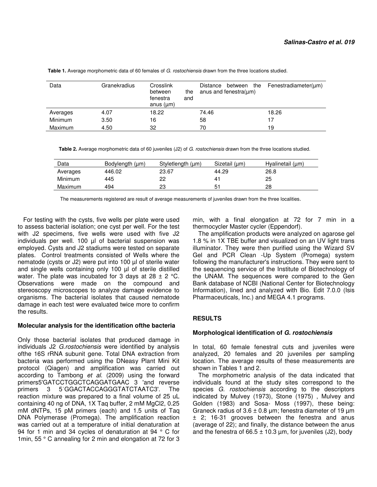| Data           | Granekradius | Crosslink<br>between<br>the<br>and<br>fenestra<br>anus $(\mu m)$ | between the<br>Distance<br>anus and fenestra( $\mu$ m) | Fenestradiameter(um) |
|----------------|--------------|------------------------------------------------------------------|--------------------------------------------------------|----------------------|
| Averages       | 4.07         | 18.22                                                            | 74.46                                                  | 18.26                |
| <b>Minimum</b> | 3.50         | 16                                                               | 58                                                     | 17                   |
| <b>Maximum</b> | 4.50         | 32                                                               | 70                                                     | 19                   |

Table 1. Average morphometric data of 60 females of G. rostochiensis drawn from the three locations studied.

 **Table 2.** Average morphometric data of 60 juveniles (J2) of G. rostochiensis drawn from the three locations studied.

| Data           | Bodylength (um) | Styletlength (µm) | Sizetail (um) | Hyalinetail (µm) |
|----------------|-----------------|-------------------|---------------|------------------|
| Averages       | 446.02          | 23.67             | 44.29         | 26.8             |
| <b>Minimum</b> | 445             | 22                | 41            | 25               |
| Maximum        | 494             | 23                | 51            | 28               |

The measurements registered are result of average measurements of juveniles drawn from the three localities.

For testing with the cysts, five wells per plate were used to assess bacterial isolation; one cyst per well. For the test with J2 specimens, five wells were used with five J2 individuals per well. 100 µl of bacterial suspension was employed. Cysts and J2 stadiums were tested on separate plates. Control treatments consisted of Wells where the nematode (cysts or J2) were put into 100 µl of sterile water and single wells containing only 100 µl of sterile distilled water. The plate was incubated for 3 days at  $28 \pm 2$  °C. Observations were made on the compound and stereoscopy microscopes to analyze damage evidence to organisms. The bacterial isolates that caused nematode damage in each test were evaluated twice more to confirm the results.

#### **Molecular analysis for the identification ofthe bacteria**

Only those bacterial isolates that produced damage in individuals J2 G.rostochiensis were identified by analysis ofthe 16S rRNA subunit gene. Total DNA extraction from bacteria was performed using the DNeasy Plant Mini Kit protocol (Qiagen) and amplification was carried out according to Tambong et al. (2009) using the forward primers5'GATCCTGGCTCAGGATGAAC 3 'and reverse primers 3 5ˈGGACTACCAGGGTATCTAATC3'. The reaction mixture was prepared to a final volume of 25 uL containing 40 ng of DNA, 1X Taq buffer, 2 mM MgCl2, 0.25 mM dNTPs, 15 pM primers (each) and 1.5 units of Taq DNA Polymerase (Promega). The amplification reaction was carried out at a temperature of initial denaturation at 94 for 1 min and 34 cycles of denaturation at 94 ° C for 1min, 55 ° C annealing for 2 min and elongation at 72 for 3

min, with a final elongation at 72 for 7 min in a thermocycler Master cycler (Eppendorf).

The amplification products were analyzed on agarose gel 1.8 % in 1X TBE buffer and visualized on an UV light trans illuminator. They were then purified using the Wizard SV Gel and PCR Clean -Up System (Promega) system following the manufacturer's instructions. They were sent to the sequencing service of the Institute of Biotechnology of the UNAM. The sequences were compared to the Gen Bank database of NCBI (National Center for Biotechnology Information), lined and analyzed with Bio. Edit 7.0.0 (Isis Pharmaceuticals, Inc.) and MEGA 4.1 programs.

# **RESULTS**

#### **Morphological identification of G. rostochiensis**

In total, 60 female fenestral cuts and juveniles were analyzed, 20 females and 20 juveniles per sampling location. The average results of these measurements are shown in Tables 1 and 2.

The morphometric analysis of the data indicated that individuals found at the study sites correspond to the species G. rostochiensis according to the descriptors indicated by Mulvey (1973), Stone (1975) , Mulvey and Golden (1983) and Sosa- Moss (1997), these being: Graneck radius of  $3.6 \pm 0.8$  µm; fenestra diameter of 19 µm ± 2; 16-31 grooves between the fenestra and anus (average of 22); and finally, the distance between the anus and the fenestra of  $66.5 \pm 10.3$  µm, for juveniles (J2), body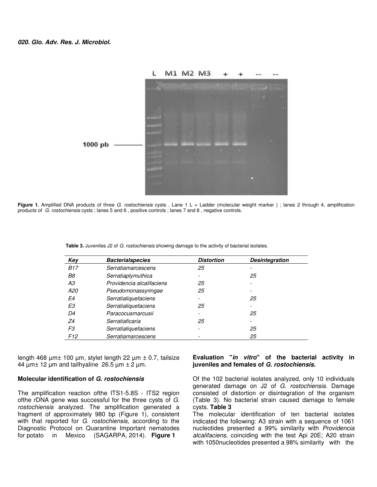

Figure 1. Amplified DNA products of three G. rostochiensis cysts . Lane 1 L = Ladder (molecular weight marker); lanes 2 through 4, amplification products of G. rostochiensis cysts ; lanes 5 and 6 , positive controls ; lanes 7 and 8 , negative controls.

| Key             | <b>Bacterialspecies</b>   | <b>Distortion</b>        | <b>Desintegration</b>    |
|-----------------|---------------------------|--------------------------|--------------------------|
| <b>B17</b>      | Serratiamarcescens        | 25                       |                          |
| B8              | Serratiaplymuthica        |                          | 25                       |
| A3              | Providencia alcalifaciens | 25                       |                          |
| A20             | Pseudomonassyringae       | 25                       |                          |
| E4              | Serratialiquefaciens      | $\overline{\phantom{a}}$ | 25                       |
| E3              | Serratialiquefaciens      | 25                       |                          |
| D4              | Paracocusmarcusii         |                          | 25                       |
| Ζ4              | Serratiaficaria           | 25                       | $\overline{\phantom{0}}$ |
| F3              | Serratialiquefaciens      | $\overline{\phantom{a}}$ | 25                       |
| F <sub>12</sub> | Serratiamarcescens        |                          | 25                       |
|                 |                           |                          |                          |

**Table 3.** Juveniles J2 of G. rostochiensis showing damage to the activity of bacterial isolates.

length 468  $\mu$ m $\pm$  100  $\mu$ m, stylet length 22  $\mu$ m  $\pm$  0.7, tailsize 44  $\mu$ m $\pm$  12  $\mu$ m and tailhyaline 26.5  $\mu$ m $\pm$  2  $\mu$ m.

# **Molecular identification of G. rostochiensis**

The amplification reaction ofthe ITS1-5.8S - ITS2 region ofthe rDNA gene was successful for the three cysts of G. rostochiensis analyzed. The amplification generated a fragment of approximately 980 bp (Figure 1), consistent with that reported for G. rostochiensis, according to the Diagnostic Protocol on Quarantine Important nematodes for potato in Mexico (SAGARPA, 2014). **Figure 1**

#### **Evaluation "in vitro" of the bacterial activity in juveniles and females of G. rostochiensis.**

Of the 102 bacterial isolates analyzed, only 10 individuals generated damage on J2 of G. rostochiensis. Damage consisted of distortion or disintegration of the organism (Table 3). No bacterial strain caused damage to female cysts. **Table 3**

The molecular identification of ten bacterial isolates indicated the following: A3 strain with a sequence of 1061 nucleotides presented a 99% similarity with Providencia alcalifaciens, coinciding with the test Api 20E; A20 strain with 1050nucleotides presented a 98% similarity with the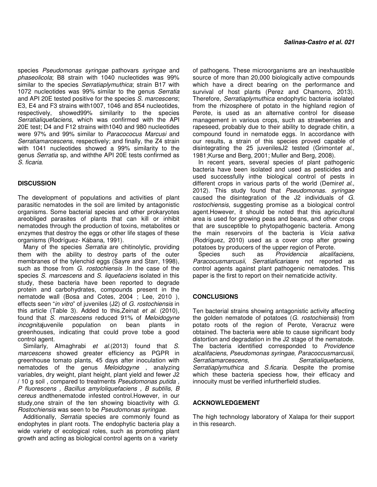species Pseudomonas syringae pathovars syringae and phaseolicola; B8 strain with 1040 nucleotides was 99% similar to the species Serratiaplymuthica; strain B17 with 1072 nucleotides was 99% similar to the genus Serratia and API 20E tested positive for the species S. marcescens; E3, E4 and F3 strains with1007, 1046 and 854 nucleotides, respectively, showed99% similarity to the species Serratialiquefaciens, which was confirmed with the API 20E test; D4 and F12 strains with1040 and 980 nucleotides were 97% and 99% similar to Paracococus Marcusi and Serratiamarcescens, respectively; and finally, the Z4 strain with 1041 nucleotides showed a 99% similarity to the genus Serratia sp, and withthe API 20E tests confirmed as S. ficaria.

# **DISCUSSION**

The development of populations and activities of plant parasitic nematodes in the soil are limited by antagonistic organisms. Some bacterial species and other prokaryotes areobliged parasites of plants that can kill or inhibit nematodes through the production of toxins, metabolites or enzymes that destroy the eggs or other life stages of these organisms (Rodríguez- Kábana, 1991).

Many of the species Serratia are chitinolytic, providing them with the ability to destroy parts of the outer membranes of the tylenchid eggs (Sayre and Starr, 1998), such as those from G. rostochiensis . In the case of the species S. marcescens and S. liquefaciens isolated in this study, these bacteria have been reported to degrade protein and carbohydrates, compounds present in the nematode wall (Bosa and Cotes, 2004 ; Lee, 2010 ), effects seen "in vitro" of juveniles (J2) of G. rostochiensis in this article (Table 3). Added to this, Zeinat et al. (2010), found that S. marcescens reduced 91% of Meloidogyne incognitajuvenile population on bean plants in greenhouses, indicating that could prove tobe a good control agent.

Similarly, Almaghrabi et al.(2013) found that S. marcescens showed greater efficiency as PGPR in greenhouse tomato plants, 45 days after inoculation with nematodes of the genus Meloidogyne , analyzing variables, dry weight, plant height, plant yield and fewer J2 / 10 g soil , compared to treatments Pseudomonas putida , P fluorescens , Bacillus amyloliquefaciens , B subtilis, B cereus andthenematode infested control.However, in our study, one strain of the ten showing bioactivity with G. Rostochiensis was seen to be Pseudomonas syringae.

Additionally, Serratia species are commonly found as endophytes in plant roots. The endophytic bacteria play a wide variety of ecological roles, such as promoting plant growth and acting as biological control agents on a variety

of pathogens. These microorganisms are an inexhaustible source of more than 20,000 biologically active compounds which have a direct bearing on the performance and survival of host plants (Perez and Chamorro, 2013). Therefore, Serratiaplymuthica endophytic bacteria isolated from the rhizosphere of potato in the highland region of Perote, is used as an alternative control for disease management in various crops, such as strawberries and rapeseed, probably due to their ability to degrade chitin, a compound found in nematode eggs. In accordance with our results, a strain of this species proved capable of disintegrating the 25 juvenilesJ2 tested (Grimontet al., 1981;Kurse and Berg, 2001; Muller and Berg, 2008).

In recent years, several species of plant pathogenic bacteria have been isolated and used as pesticides and used successfully inthe biological control of pests in different crops in various parts of the world (Demiret al., 2012). This study found that Pseudomonas. syringae caused the disintegration of the J2 individuals of G. rostochiensis, suggesting promise as a biological control agent.However, it should be noted that this agricultural area is used for growing peas and beans, and other crops that are susceptible to phytopathogenic bacteria. Among the main reservoirs of the bacteria is Vicia sativa (Rodríguez, 2010) used as a cover crop after growing

potatoes by producers of the upper region of Perote.<br>Species such as *Providencia alcalifa* Species such as Providencia alcalifaciens, Paracocusmarcusii, Serratiaficariaare not reported as control agents against plant pathogenic nematodes. This paper is the first to report on their nematicide activity.

# **CONCLUSIONS**

Ten bacterial strains showing antagonistic activity affecting the golden nematode of potatoes (G. rostochiensis) from potato roots of the region of Perote, Veracruz were obtained. The bacteria were able to cause significant body distortion and degradation in the J2 stage of the nematode. The bacteria identified corresponded to Providence alcalifaciens, Pseudomonas syringae, Paracoccusmarcusii, Serratiamarcescens, Serratialiquefaciens, Serratiaplymuthica and S.ficaria. Despite the promise which these bacteria speciess how, their efficacy and innocuity must be verified infurtherfield studies.

# **ACKNOWLEDGEMENT**

The high technology laboratory of Xalapa for their support in this research.